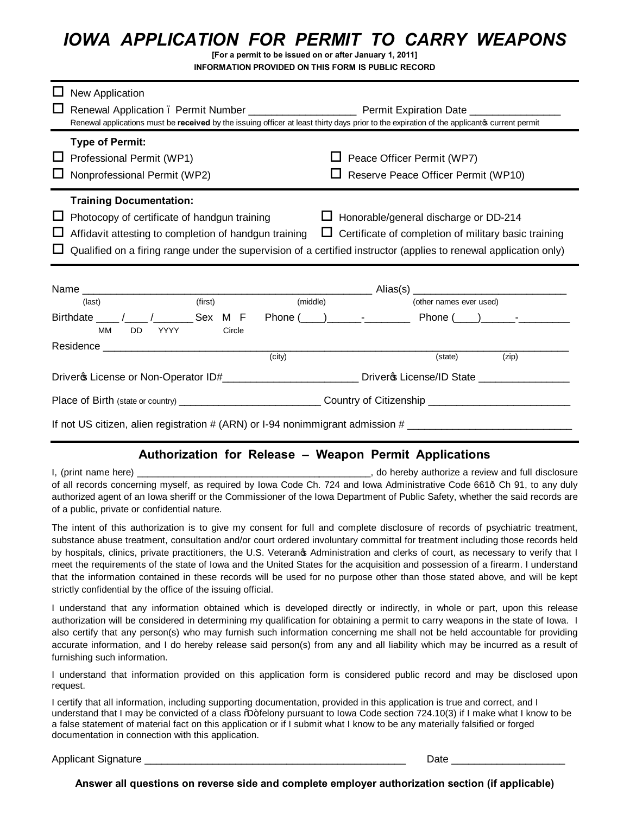## *IOWA APPLICATION FOR PERMIT TO CARRY WEAPONS*

**[For a permit to be issued on or after January 1, 2011] INFORMATION PROVIDED ON THIS FORM IS PUBLIC RECORD**

|                                                                                                               | New Application<br>Renewal applications must be received by the issuing officer at least thirty days prior to the expiration of the applicanto current permit                                                                                                |          |                                                                                                                |                                              |                                                             |  |
|---------------------------------------------------------------------------------------------------------------|--------------------------------------------------------------------------------------------------------------------------------------------------------------------------------------------------------------------------------------------------------------|----------|----------------------------------------------------------------------------------------------------------------|----------------------------------------------|-------------------------------------------------------------|--|
|                                                                                                               | <b>Type of Permit:</b><br>Professional Permit (WP1)<br>Nonprofessional Permit (WP2)                                                                                                                                                                          |          | Peace Officer Permit (WP7)<br>Reserve Peace Officer Permit (WP10)                                              |                                              |                                                             |  |
|                                                                                                               | <b>Training Documentation:</b><br>Photocopy of certificate of handgun training<br>Affidavit attesting to completion of handgun training<br>Qualified on a firing range under the supervision of a certified instructor (applies to renewal application only) |          |                                                                                                                | $\Box$ Honorable/general discharge or DD-214 | $\Box$ Certificate of completion of military basic training |  |
|                                                                                                               |                                                                                                                                                                                                                                                              |          |                                                                                                                |                                              |                                                             |  |
|                                                                                                               | (first)<br>(last)<br>MМ<br>DD.<br>YYYY<br>Circle                                                                                                                                                                                                             | (middle) |                                                                                                                | (other names ever used)                      |                                                             |  |
|                                                                                                               | Residence <b>Executive Service Residence</b>                                                                                                                                                                                                                 | (city)   |                                                                                                                | (state)                                      | (zip)                                                       |  |
|                                                                                                               |                                                                                                                                                                                                                                                              |          | Driver & License or Non-Operator ID#_________________________________Driver & License/ID State _______________ |                                              |                                                             |  |
|                                                                                                               |                                                                                                                                                                                                                                                              |          |                                                                                                                |                                              |                                                             |  |
| If not US citizen, alien registration # (ARN) or I-94 nonimmigrant admission # ______________________________ |                                                                                                                                                                                                                                                              |          |                                                                                                                |                                              |                                                             |  |

## **Authorization for Release – Weapon Permit Applications**

I, (print name here) \_\_\_\_\_\_\_\_\_\_\_\_\_\_\_\_\_\_\_\_\_\_\_\_\_\_\_\_\_\_\_\_\_\_\_\_\_\_\_\_\_\_\_\_\_, do hereby authorize a review and full disclosure of all records concerning myself, as required by Iowa Code Ch. 724 and Iowa Administrative Code 661—Ch 91, to any duly authorized agent of an Iowa sheriff or the Commissioner of the Iowa Department of Public Safety, whether the said records are of a public, private or confidential nature.

The intent of this authorization is to give my consent for full and complete disclosure of records of psychiatric treatment, substance abuse treatment, consultation and/or court ordered involuntary committal for treatment including those records held by hospitals, clinics, private practitioners, the U.S. Veteranos Administration and clerks of court, as necessary to verify that I meet the requirements of the state of Iowa and the United States for the acquisition and possession of a firearm. I understand that the information contained in these records will be used for no purpose other than those stated above, and will be kept strictly confidential by the office of the issuing official.

I understand that any information obtained which is developed directly or indirectly, in whole or part, upon this release authorization will be considered in determining my qualification for obtaining a permit to carry weapons in the state of Iowa. I also certify that any person(s) who may furnish such information concerning me shall not be held accountable for providing accurate information, and I do hereby release said person(s) from any and all liability which may be incurred as a result of furnishing such information.

I understand that information provided on this application form is considered public record and may be disclosed upon request.

I certify that all information, including supporting documentation, provided in this application is true and correct, and I understand that I may be convicted of a class %D+felony pursuant to Iowa Code section 724.10(3) if I make what I know to be a false statement of material fact on this application or if I submit what I know to be any materially falsified or forged documentation in connection with this application.

Applicant Signature **Letter Letter and Science Letter Signature** Date Letter and Science Letter and Science Letter

**Answer all questions on reverse side and complete employer authorization section (if applicable)**